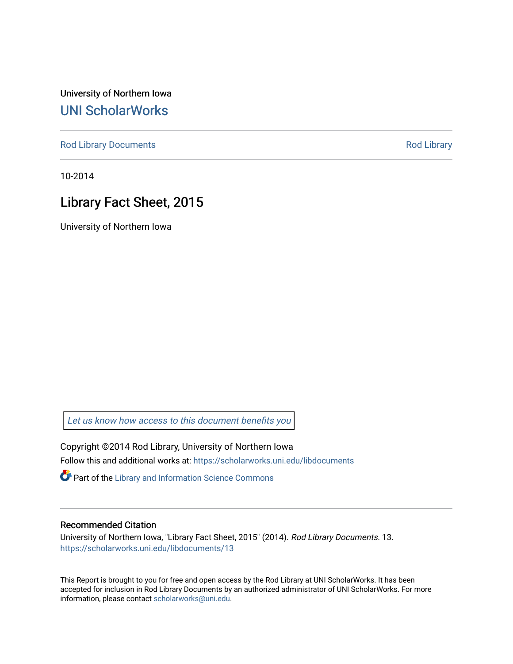University of Northern Iowa [UNI ScholarWorks](https://scholarworks.uni.edu/) 

[Rod Library Documents](https://scholarworks.uni.edu/libdocuments) **[Rod Library](https://scholarworks.uni.edu/lib) Rod Library** 

10-2014

# Library Fact Sheet, 2015

University of Northern Iowa

[Let us know how access to this document benefits you](https://scholarworks.uni.edu/feedback_form.html) 

Copyright ©2014 Rod Library, University of Northern Iowa Follow this and additional works at: [https://scholarworks.uni.edu/libdocuments](https://scholarworks.uni.edu/libdocuments?utm_source=scholarworks.uni.edu%2Flibdocuments%2F13&utm_medium=PDF&utm_campaign=PDFCoverPages) 

**Part of the Library and Information Science Commons** 

#### Recommended Citation

University of Northern Iowa, "Library Fact Sheet, 2015" (2014). Rod Library Documents. 13. [https://scholarworks.uni.edu/libdocuments/13](https://scholarworks.uni.edu/libdocuments/13?utm_source=scholarworks.uni.edu%2Flibdocuments%2F13&utm_medium=PDF&utm_campaign=PDFCoverPages)

This Report is brought to you for free and open access by the Rod Library at UNI ScholarWorks. It has been accepted for inclusion in Rod Library Documents by an authorized administrator of UNI ScholarWorks. For more information, please contact [scholarworks@uni.edu.](mailto:scholarworks@uni.edu)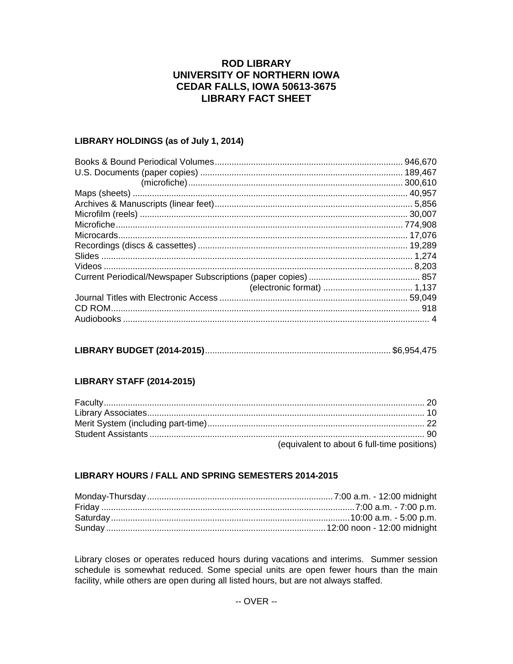## **ROD LIBRARY** UNIVERSITY OF NORTHERN IOWA **CEDAR FALLS, IOWA 50613-3675 LIBRARY FACT SHEET**

### LIBRARY HOLDINGS (as of July 1, 2014)

| 946,670<br>. 300,610 |
|----------------------|
|                      |
|                      |
|                      |
|                      |
|                      |
|                      |
|                      |
|                      |
|                      |
|                      |
|                      |
|                      |
|                      |

## **LIBRARY STAFF (2014-2015)**

| (equivalent to about 6 full-time positions) |
|---------------------------------------------|

### LIBRARY HOURS / FALL AND SPRING SEMESTERS 2014-2015

Library closes or operates reduced hours during vacations and interims. Summer session schedule is somewhat reduced. Some special units are open fewer hours than the main facility, while others are open during all listed hours, but are not always staffed.